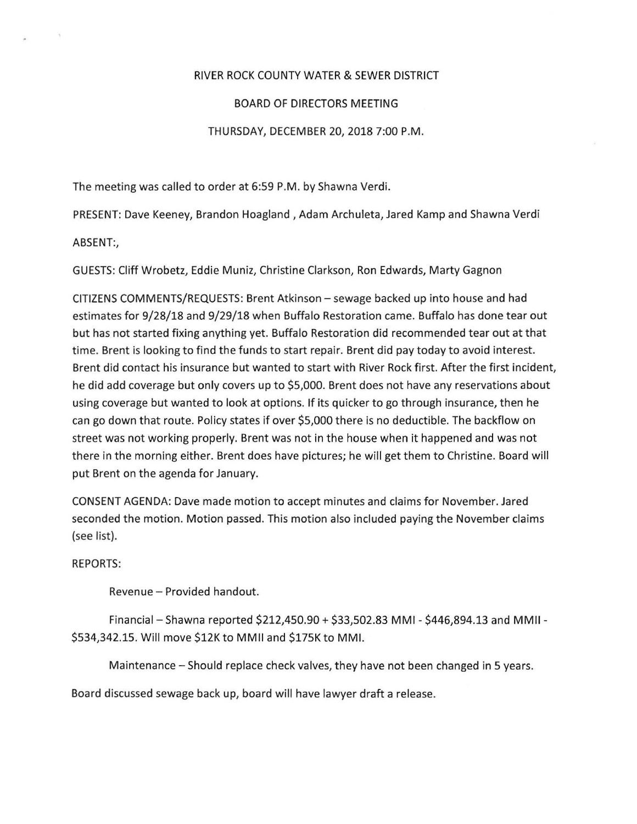## RIVER ROCK COUNTY WATER & SEWER DISTRICT

## BOARD OF DIRECTORS MEETING

## THURSDAY, DECEMBER 20, 2018 7:00 P.M.

The meeting was called to order at 6:59 P.M. by Shawna Verdi.

PRESENT: Dave Keeney, Brandon Hoagland , Adam Archuleta, Jared Kamp and Shawna Verdi

ABSENT:,

 $\mathcal{A}$ 

GUESTS: Cliff Wrobetz, Eddie Muniz, Christine Clarkson, Ron Edwards, Marty Gagnon

CITIZENS COMMENTS/REQUESTS: Brent Atkinson- sewage backed up into house and had estimates for 9/28/18 and 9/29/18 when Buffalo Restoration came. Buffalo has done tear out but has not started fixing anything yet. Buffalo Restoration did recommended tear out at that time. Brent is looking to find the funds to start repair. Brent did pay today to avoid interest. Brent did contact his insurance but wanted to start with River Rock first. After the first incident, he did add coverage but only covers up to \$5,000. Brent does not have any reservations about using coverage but wanted to look at options. If its quicker to go through insurance, then he can go down that route. Policy states if over \$5,000 there is no deductible. The backflow on street was not working properly. Brent was not in the house when it happened and was not there in the morning either. Brent does have pictures; he will get them to Christine. Board will put Brent on the agenda for January.

CONSENT AGENDA: Dave made motion to accept minutes and claims for November. Jared seconded the motion. Motion passed. This motion also included paying the November claims (see list).

## REPORTS:

Revenue- Provided handout.

Financial- Shawna reported \$212,450.90 + \$33,502.83 MMI- \$446,894.13 and MMII- \$534,342.15. Will move \$12K to MMII and \$175K to MMI.

Maintenance - Should replace check valves, they have not been changed in 5 years.

Board discussed sewage back up, board will have lawyer draft a release.